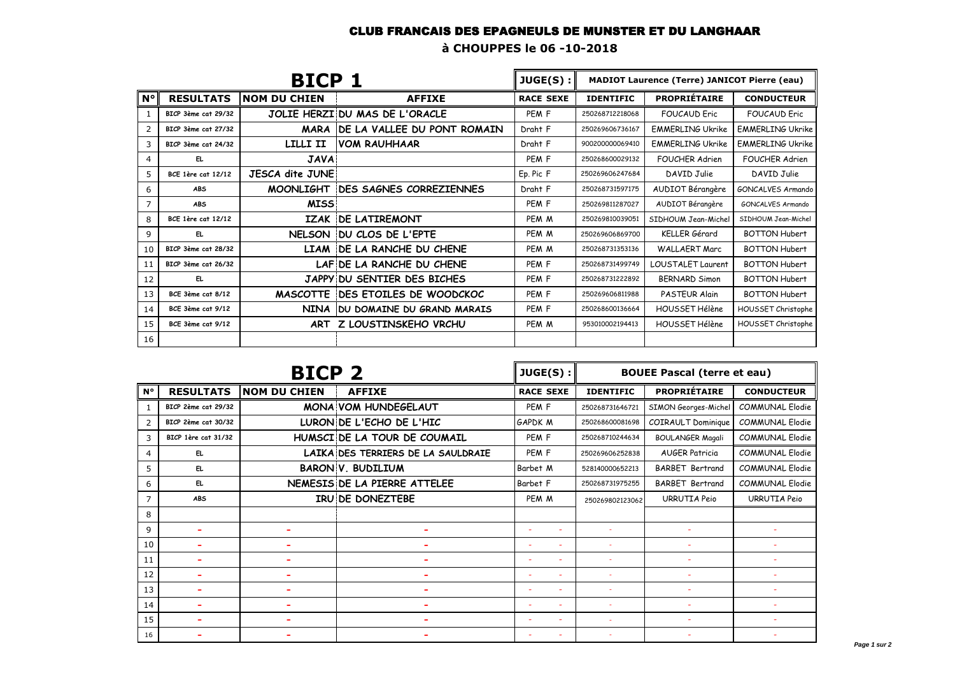## CLUB FRANCAIS DES EPAGNEULS DE MUNSTER ET DU LANGHAAR

**à CHOUPPES le 06 -10-2018**

| <b>BICP 1</b> |                           |                        | JUGE(S):                          | <b>MADIOT Laurence (Terre) JANICOT Pierre (eau)</b> |                  |                         |                         |
|---------------|---------------------------|------------------------|-----------------------------------|-----------------------------------------------------|------------------|-------------------------|-------------------------|
| $N^{\circ}$   | <b>RESULTATS</b>          | <b>NOM DU CHIEN</b>    | <b>AFFIXE</b>                     | <b>RACE SEXE</b>                                    | <b>IDENTIFIC</b> | <b>PROPRIÉTAIRE</b>     | <b>CONDUCTEUR</b>       |
| 1             | BICP 3ème cat 29/32       |                        | JOLIE HERZI DU MAS DE L'ORACLE    | PEM <sub>F</sub>                                    | 250268712218068  | <b>FOUCAUD Fric</b>     | <b>FOUCAUD Fric</b>     |
| 2             | BICP 3ème cat 27/32       |                        | MARA IDE LA VALLEE DU PONT ROMAIN | Draht F                                             | 250269606736167  | <b>EMMERLING Ukrike</b> | <b>EMMERLING Ukrike</b> |
| 3             | BICP 3ème cat 24/32       | LILLI II               | IVOM RAUHHAAR                     | Draht F                                             | 900200000069410  | <b>EMMERLING Ukrike</b> | <b>EMMERLING Ukrike</b> |
| 4             | EL.                       | <b>JAVA</b>            |                                   | PEM <sub>F</sub>                                    | 250268600029132  | <b>FOUCHER Adrien</b>   | <b>FOUCHER Adrien</b>   |
| 5             | <b>BCE 1ère cat 12/12</b> | <b>JESCA dite JUNE</b> |                                   | Ep. Pic F                                           | 250269606247684  | DAVID Julie             | DAVID Julie             |
| 6             | <b>ABS</b>                |                        | MOONLIGHT DES SAGNES CORREZIENNES | Draht F                                             | 250268731597175  | AUDIOT Bérangère        | GONCALVES Armando       |
| 7             | <b>ABS</b>                | <b>MISS</b>            |                                   | PEM <sub>F</sub>                                    | 250269811287027  | AUDIOT Bérangère        | GONCALVES Armando       |
| 8             | <b>BCE 1ère cat 12/12</b> |                        | IZAK DE LATIREMONT                | PEM M                                               | 250269810039051  | SIDHOUM Jean-Michel     | SIDHOUM Jean-Michel     |
| 9             | EL.                       |                        | NELSON DU CLOS DE L'EPTE          | PEM M                                               | 250269606869700  | <b>KELLER</b> Gérard    | <b>BOTTON Hubert</b>    |
| 10            | BICP 3ème cat 28/32       |                        | LIAM DE LA RANCHE DU CHENE        | PEM M                                               | 250268731353136  | <b>WALLAERT Marc</b>    | <b>BOTTON Hubert</b>    |
| 11            | BICP 3ème cat 26/32       |                        | LAFIDE LA RANCHE DU CHENE         | PEM <sub>F</sub>                                    | 250268731499749  | LOUSTALET Laurent       | <b>BOTTON Hubert</b>    |
| 12            | EL.                       |                        | JAPPY DU SENTIER DES BICHES       | PEM <sub>F</sub>                                    | 250268731222892  | <b>BERNARD Simon</b>    | <b>BOTTON Hubert</b>    |
| 13            | BCE 3ème cat 8/12         |                        | MASCOTTE IDES ETOILES DE WOODCKOC | PEM <sub>F</sub>                                    | 250269606811988  | PASTEUR Alain           | <b>BOTTON Hubert</b>    |
| 14            | BCE 3ème cat 9/12         |                        | NINA IDU DOMAINE DU GRAND MARAIS  | PEM <sub>F</sub>                                    | 250268600136664  | HOUSSET Hélène          | HOUSSET Christophe      |
| 15            | BCE 3ème cat 9/12         |                        | ART Z LOUSTINSKEHO VRCHU          | PEM M                                               | 953010002194413  | HOUSSET Hélène          | HOUSSET Christophe      |
| 16            |                           |                        |                                   |                                                     |                  |                         |                         |

| <b>BICP 2</b>  |                     |                     | JUGE(S):                           | <b>BOUEE Pascal (terre et eau)</b> |                  |                         |                        |
|----------------|---------------------|---------------------|------------------------------------|------------------------------------|------------------|-------------------------|------------------------|
| N°             | <b>RESULTATS</b>    | <b>NOM DU CHIEN</b> | <b>AFFIXE</b>                      | <b>RACE SEXE</b>                   | <b>IDENTIFIC</b> | <b>PROPRIÉTAIRE</b>     | <b>CONDUCTEUR</b>      |
| -1             | BICP 2ème cat 29/32 |                     | <b>MONA VOM HUNDEGELAUT</b>        | PEM <sub>F</sub>                   | 250268731646721  | SIMON Georges-Michel    | <b>COMMUNAL Elodie</b> |
| $\overline{2}$ | BICP 2ème cat 30/32 |                     | LURON DE L'ECHO DE L'HIC           | <b>GAPDK M</b>                     | 250268600081698  | COIRAULT Dominique      | <b>COMMUNAL Elodie</b> |
| 3              | BICP 1ère cat 31/32 |                     | HUMSCI DE LA TOUR DE COUMAIL       | PEM <sub>F</sub>                   | 250268710244634  | <b>BOULANGER Magali</b> | COMMUNAL Elodie        |
| 4              | EL.                 |                     | LAIKA DES TERRIERS DE LA SAULDRAIE | PEM F                              | 250269606252838  | <b>AUGER Patricia</b>   | <b>COMMUNAL Elodie</b> |
| 5              | EL.                 |                     | <b>BARON V. BUDILIUM</b>           | Barbet M                           | 528140000652213  | <b>BARBET Bertrand</b>  | <b>COMMUNAL Elodie</b> |
| 6              | EL.                 |                     | NEMESIS DE LA PIERRE ATTELEE       | Barbet F                           | 250268731975255  | <b>BARBET Bertrand</b>  | <b>COMMUNAL Elodie</b> |
| 7              | <b>ABS</b>          |                     | IRU DE DONEZTEBE                   | PEM M                              | 250269802123062  | URRUTIA Peio            | URRUTIA Peio           |
| 8              |                     |                     |                                    |                                    |                  |                         |                        |
| 9              | ۰                   |                     |                                    |                                    |                  |                         |                        |
| 10             |                     |                     |                                    |                                    |                  |                         |                        |
| 11             |                     |                     |                                    |                                    |                  |                         |                        |
| 12             |                     |                     |                                    |                                    |                  |                         |                        |
| 13             |                     |                     |                                    |                                    |                  |                         |                        |
| 14             |                     |                     |                                    |                                    |                  |                         |                        |
| 15             | ۰                   |                     |                                    |                                    |                  |                         |                        |
| 16             |                     |                     |                                    |                                    |                  |                         |                        |